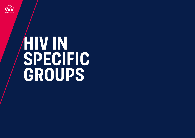

# **HiV in specifiC groups**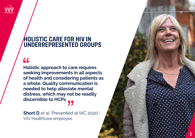

#### **Holistic care for HiV in underrepresented groups**

### $\overline{\mathbf{G}}$

**Holistic approach to care requires seeking improvements in all aspects of health and considering patients as a whole. Quality communication is needed to help alleviate mental distress, which may not be readily discernible to HCPs.**

**Short D** *et al.* Presented at IAC 2020. 1 ViiV Healthcare employee

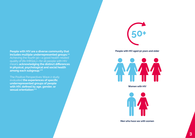

**People with HIV aged 50 years and older**

**People with HIV are a diverse community that includes multiple underrepresented groups.2,3** Achieving the fourth 90—a good health-related quality of life (HRQoL)—for all people with HIV means **acknowledging the distinct differences in physical, psychological and social health among each subgroup.1–6**

The Positive Perspectives Wave 2 study evaluated **the experiences of specific underrepresented groups of people with HIV, defined by age, gender, or sexual orientation:1–6**



**Women with HIV**



**Men who have sex with women**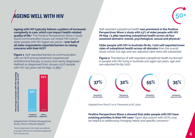## **Ageing well with HiV**



**Ageing with HIV typically follows a pattern of increased complexity in care, which can impact health-related quality of life.<sup>7</sup>** The Positive Perspectives Wave 2 study found communication issues can impair HIV care in older people with HIV (aged ≥50 years)—**over half of all older respondents reported barriers to raising concerns with their HCP.2**

**Figure 1**. Self-reported barriers to communication with an HCP among treatment-experienced (antiretroviral therapy ≥2 years) and newly diagnosed (defined as diagnosed from January 2017) people with HIV ≥50 years old (N=699 / 2,389).<sup>2</sup>

Self-reported suboptimal health **was prominent in the Positive Perspectives Wave 2 study with 23% of older people with HIV (N=699 /2,389) reporting suboptimal health across all four assessed domains: overall, psychological, sexual and physical.1**

**Older people with HIV in Australia (N=65 /120) self-reported lower rates of suboptimal health across all domains** than the overall study cohort, but age and sex-adjusted rates were still substantial:

**Figure 2.** Prevalence of self-reported suboptimal health by domain in people with HIV living in Australia and aged ≥50 years, age and sex-adjusted (N=65/120).<sup>1</sup>



Study, Wave 2 Results Report.<sup>2</sup>

\*Newly diagnosed in the study was defined as people with HIV who had been diagnosed



Adapted from Short D et al. Presented at IAC 2020<sup>1</sup>

**Positive Perspectives Wave 2 showed that older people with HIV have evolving priorities in their HIV care.**<sup>2</sup> Open discussions with HCPs may Adapted from Positive Perspectives **Acapted from Positive Perspectives** And Specific concerns.<sup>2</sup> Adapted from Positive Perspectives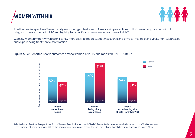



The Positive Perspectives Wave 2 study examined gender-based differences in perceptions of HIV care among women with HIV  $(N=571 / 2,112)$  and men with HIV, and highlighted specific concerns among women with HIV.<sup>2,4</sup>

Globally, women with HIV were significantly more likely to report suboptimal overall and physical health, being virally non-suppressed, and experiencing treatment dissatisfaction.<sup>2,4</sup>

**Figure 3.** Self-reported health outcomes among women with HIV and men with HIV (N=2,112).<sup>2,4\*</sup>



Adapted from Positive Perspectives Study, Wave 2 Results Report.<sup>2</sup> and Okoli C. Presented at International Workshop on HIV & Women 2020.4 \*Total number of participants is 2,112 as the figures were calculated before the inclusion of additional data from Russia and South Africa.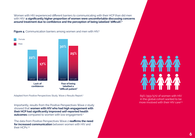Women with HIV experienced different barriers to communicating with their HCP than did men with HIV–**a significantly higher proportion of women were uncomfortable discussing concerns around treatment due to confidence and the perception of being labelled 'difficult'.<sup>2</sup>**

**Figure 4.** Communication barriers among women and men with HIV.<sup>2</sup>



Adapted from Positive Perspectives Study, Wave 2 Results Report.<sup>2</sup>

Importantly, results from the Positive Perspectives Wave 2 study showed that **women with HIV who had high engagement with their HCP had significantly improved self-reported health outcomes** compared to women with low engagement.<sup>4</sup>

The data from Positive Perspectives Wave 2 **reaffirms the need for increased communication** between women with HIV and their HCPs.<sup>2,4</sup>

69% (393/571) of women with HIV in the global cohort wanted to be more involved with their HIV care<sup>2,4</sup>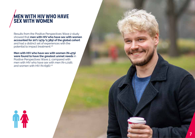### **Men with HiV who have sex with women**

Results from the Positive Perspectives Wave 2 study showed that **men with HIV who have sex with women accounted for 20% (479/2,389) of the global cohort**  and had a distinct set of experiences with the potential to impact treatment.2,6

#### **Men with HIV who have sex with women (N=479) were found to have the greatest unmet needs** in

Positive Perspectives Wave 2, compared with men with HIV who have sex with men (N=1,018), and women with HIV (N=696).<sup>2,6</sup>

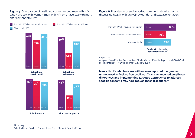**Figure 5.** Comparison of health outcomes among men with HIV who have sex with women, men with HIV who have sex with men. and women with HIV.<sup>2</sup>

Men with HIV who have sex with women Men with HIV who have sex with men Women with HIV



**Polypharmacy Viral non-suppresion**

**Figure 6.** Prevalence of self-reported communication barriers to discussing health with an HCP by gender and sexual orientation.2



#### All p<0.001.

Adapted from Positive Perspectives Study, Wave 2 Results Report<sup>2</sup> and Okoli C, et al. Presented at HIV Drug Therapy Glasgow 2020.<sup>6</sup>

**Men with HIV who have sex with women reported the greatest unmet need** in Positive Perspectives Wave 2. **Acknowledging these differences and implementing targeted approaches to address specific concerns may help reduce these disparities.2,6**